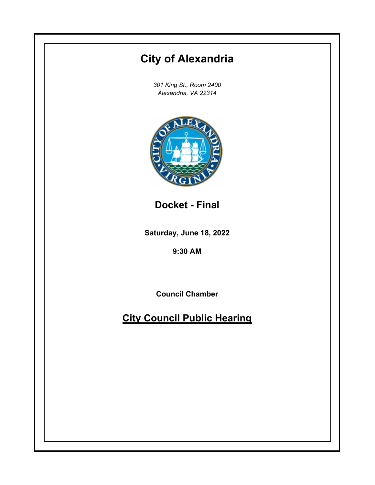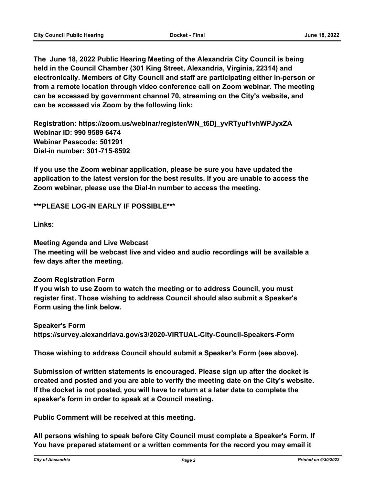**The June 18, 2022 Public Hearing Meeting of the Alexandria City Council is being held in the Council Chamber (301 King Street, Alexandria, Virginia, 22314) and electronically. Members of City Council and staff are participating either in-person or from a remote location through video conference call on Zoom webinar. The meeting can be accessed by government channel 70, streaming on the City's website, and can be accessed via Zoom by the following link:**

**Registration: https://zoom.us/webinar/register/WN\_t6Dj\_yvRTyuf1vhWPJyxZA Webinar ID: 990 9589 6474 Webinar Passcode: 501291 Dial-in number: 301-715-8592**

**If you use the Zoom webinar application, please be sure you have updated the application to the latest version for the best results. If you are unable to access the Zoom webinar, please use the Dial-In number to access the meeting.**

**\*\*\*PLEASE LOG-IN EARLY IF POSSIBLE\*\*\***

**Links:**

**Meeting Agenda and Live Webcast**

**The meeting will be webcast live and video and audio recordings will be available a few days after the meeting.**

### **Zoom Registration Form**

**If you wish to use Zoom to watch the meeting or to address Council, you must register first. Those wishing to address Council should also submit a Speaker's Form using the link below.**

**Speaker's Form https://survey.alexandriava.gov/s3/2020-VIRTUAL-City-Council-Speakers-Form**

**Those wishing to address Council should submit a Speaker's Form (see above).**

**Submission of written statements is encouraged. Please sign up after the docket is created and posted and you are able to verify the meeting date on the City's website. If the docket is not posted, you will have to return at a later date to complete the speaker's form in order to speak at a Council meeting.**

**Public Comment will be received at this meeting.**

**All persons wishing to speak before City Council must complete a Speaker's Form. If You have prepared statement or a written comments for the record you may email it**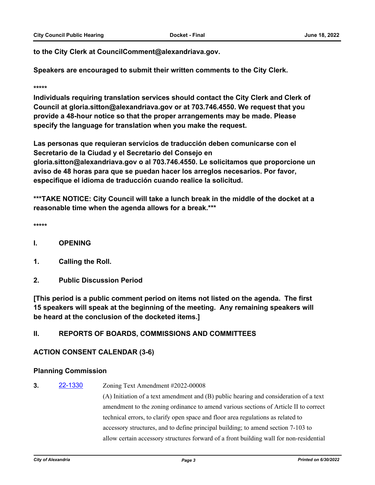**to the City Clerk at CouncilComment@alexandriava.gov.**

**Speakers are encouraged to submit their written comments to the City Clerk.**

#### **\*\*\*\*\***

**Individuals requiring translation services should contact the City Clerk and Clerk of Council at gloria.sitton@alexandriava.gov or at 703.746.4550. We request that you provide a 48-hour notice so that the proper arrangements may be made. Please specify the language for translation when you make the request.**

**Las personas que requieran servicios de traducción deben comunicarse con el Secretario de la Ciudad y el Secretario del Consejo en gloria.sitton@alexandriava.gov o al 703.746.4550. Le solicitamos que proporcione un aviso de 48 horas para que se puedan hacer los arreglos necesarios. Por favor, especifique el idioma de traducción cuando realice la solicitud.**

**\*\*\*TAKE NOTICE: City Council will take a lunch break in the middle of the docket at a reasonable time when the agenda allows for a break.\*\*\***

**\*\*\*\*\***

- **I. OPENING**
- **1. Calling the Roll.**
- **2. Public Discussion Period**

**[This period is a public comment period on items not listed on the agenda. The first 15 speakers will speak at the beginning of the meeting. Any remaining speakers will be heard at the conclusion of the docketed items.]**

### **II. REPORTS OF BOARDS, COMMISSIONS AND COMMITTEES**

### **ACTION CONSENT CALENDAR (3-6)**

### **Planning Commission**

# **3. [22-1330](http://alexandria.legistar.com/gateway.aspx?m=l&id=/matter.aspx?key=14928)** Zoning Text Amendment #2022-00008

(A) Initiation of a text amendment and (B) public hearing and consideration of a text amendment to the zoning ordinance to amend various sections of Article II to correct technical errors, to clarify open space and floor area regulations as related to accessory structures, and to define principal building; to amend section 7-103 to allow certain accessory structures forward of a front building wall for non-residential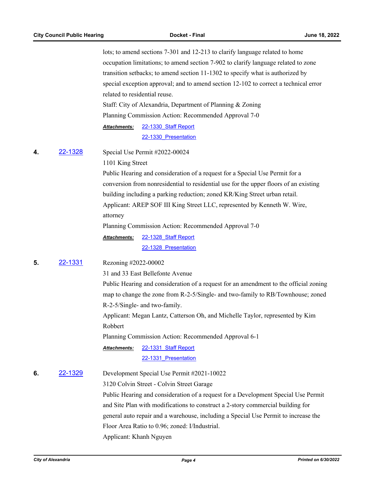lots; to amend sections 7-301 and 12-213 to clarify language related to home occupation limitations; to amend section 7-902 to clarify language related to zone transition setbacks; to amend section 11-1302 to specify what is authorized by special exception approval; and to amend section 12-102 to correct a technical error related to residential reuse. Staff: City of Alexandria, Department of Planning & Zoning Planning Commission Action: Recommended Approval 7-0 [22-1330\\_Staff Report](http://alexandria.legistar.com/gateway.aspx?M=F&ID=a93ad505-826f-4f54-9785-879bb0af676c.pdf) [22-1330\\_Presentation](http://alexandria.legistar.com/gateway.aspx?M=F&ID=bff64013-514b-4c0d-b46c-0fdae4dcfbb0.pdf) *Attachments:* **4.** [22-1328](http://alexandria.legistar.com/gateway.aspx?m=l&id=/matter.aspx?key=14926) Special Use Permit #2022-00024 1101 King Street Public Hearing and consideration of a request for a Special Use Permit for a conversion from nonresidential to residential use for the upper floors of an existing building including a parking reduction; zoned KR/King Street urban retail. Applicant: AREP SOF III King Street LLC, represented by Kenneth W. Wire, attorney Planning Commission Action: Recommended Approval 7-0 [22-1328\\_Staff Report](http://alexandria.legistar.com/gateway.aspx?M=F&ID=99799084-59b1-45be-80b8-f17b68cc9bf6.pdf) [22-1328\\_Presentation](http://alexandria.legistar.com/gateway.aspx?M=F&ID=66ee304f-35ef-4348-8c0d-6564ee53f2e8.pdf) *Attachments:* **5.** [22-1331](http://alexandria.legistar.com/gateway.aspx?m=l&id=/matter.aspx?key=14929) Rezoning #2022-00002 31 and 33 East Bellefonte Avenue Public Hearing and consideration of a request for an amendment to the official zoning map to change the zone from R-2-5/Single- and two-family to RB/Townhouse; zoned R-2-5/Single- and two-family. Applicant: Megan Lantz, Catterson Oh, and Michelle Taylor, represented by Kim Robbert Planning Commission Action: Recommended Approval 6-1 [22-1331\\_Staff Report](http://alexandria.legistar.com/gateway.aspx?M=F&ID=e778e4d5-651e-435f-8443-94c2c9ff3a9b.pdf) 22-1331 Presentation *Attachments:* **6.** [22-1329](http://alexandria.legistar.com/gateway.aspx?m=l&id=/matter.aspx?key=14927) Development Special Use Permit #2021-10022 3120 Colvin Street - Colvin Street Garage Public Hearing and consideration of a request for a Development Special Use Permit

and Site Plan with modifications to construct a 2-story commercial building for general auto repair and a warehouse, including a Special Use Permit to increase the Floor Area Ratio to 0.96; zoned: I/Industrial. Applicant: Khanh Nguyen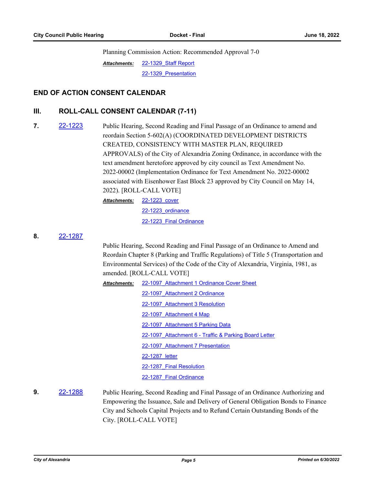Planning Commission Action: Recommended Approval 7-0

[22-1329\\_Staff Report](http://alexandria.legistar.com/gateway.aspx?M=F&ID=562239a5-a234-470d-bb86-07827c896a93.pdf) [22-1329\\_Presentation](http://alexandria.legistar.com/gateway.aspx?M=F&ID=3c0c0ea3-a5d9-4442-a951-8f228d33da61.pdf) *Attachments:*

### **END OF ACTION CONSENT CALENDAR**

# **III. ROLL-CALL CONSENT CALENDAR (7-11)**

**7.** [22-1223](http://alexandria.legistar.com/gateway.aspx?m=l&id=/matter.aspx?key=14821) Public Hearing, Second Reading and Final Passage of an Ordinance to amend and reordain Section 5-602(A) (COORDINATED DEVELOPMENT DISTRICTS CREATED, CONSISTENCY WITH MASTER PLAN, REQUIRED APPROVALS) of the City of Alexandria Zoning Ordinance, in accordance with the text amendment heretofore approved by city council as Text Amendment No. 2022-00002 (Implementation Ordinance for Text Amendment No. 2022-00002 associated with Eisenhower East Block 23 approved by City Council on May 14, 2022). [ROLL-CALL VOTE]

> [22-1223\\_cover](http://alexandria.legistar.com/gateway.aspx?M=F&ID=851aac4f-3b83-40a8-9e6a-a4f14145e4bd.doc) *Attachments:* [22-1223\\_ordinance](http://alexandria.legistar.com/gateway.aspx?M=F&ID=769e9dc6-a5e6-41d9-9875-327f63072cc0.doc) [22-1223\\_Final Ordinance](http://alexandria.legistar.com/gateway.aspx?M=F&ID=34925b26-3ca3-4a37-8dd0-c2b0b9360e05.pdf)

#### **8.** [22-1287](http://alexandria.legistar.com/gateway.aspx?m=l&id=/matter.aspx?key=14885)

Public Hearing, Second Reading and Final Passage of an Ordinance to Amend and Reordain Chapter 8 (Parking and Traffic Regulations) of Title 5 (Transportation and Environmental Services) of the Code of the City of Alexandria, Virginia, 1981, as amended. [ROLL-CALL VOTE]

| <b>Attachments:</b> | 22-1097 Attachment 1 Ordinance Cover Sheet            |
|---------------------|-------------------------------------------------------|
|                     | 22-1097 Attachment 2 Ordinance                        |
|                     | 22-1097 Attachment 3 Resolution                       |
|                     | 22-1097 Attachment 4 Map                              |
|                     | 22-1097 Attachment 5 Parking Data                     |
|                     | 22-1097 Attachment 6 - Traffic & Parking Board Letter |
|                     | 22-1097 Attachment 7 Presentation                     |
|                     | 22-1287 letter                                        |
|                     | 22-1287 Final Resolution                              |
|                     | 22-1287 Final Ordinance                               |

# **9.** [22-1288](http://alexandria.legistar.com/gateway.aspx?m=l&id=/matter.aspx?key=14886) Public Hearing, Second Reading and Final Passage of an Ordinance Authorizing and Empowering the Issuance, Sale and Delivery of General Obligation Bonds to Finance City and Schools Capital Projects and to Refund Certain Outstanding Bonds of the City. [ROLL-CALL VOTE]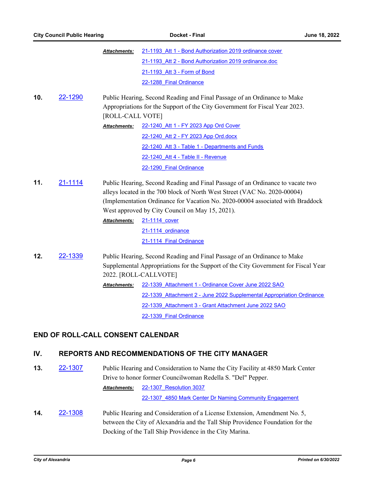|     | <b>City Council Public Hearing</b> |                                                                                                                                                                                                                                                                 | Docket - Final<br>June 18, 2022<br>21-1193 Att 1 - Bond Authorization 2019 ordinance cover                                                                                                                                                                                                       |  |  |
|-----|------------------------------------|-----------------------------------------------------------------------------------------------------------------------------------------------------------------------------------------------------------------------------------------------------------------|--------------------------------------------------------------------------------------------------------------------------------------------------------------------------------------------------------------------------------------------------------------------------------------------------|--|--|
|     |                                    | <b>Attachments:</b>                                                                                                                                                                                                                                             |                                                                                                                                                                                                                                                                                                  |  |  |
|     |                                    |                                                                                                                                                                                                                                                                 | 21-1193 Att 2 - Bond Authorization 2019 ordinance.doc                                                                                                                                                                                                                                            |  |  |
|     |                                    |                                                                                                                                                                                                                                                                 | 21-1193 Att 3 - Form of Bond                                                                                                                                                                                                                                                                     |  |  |
|     |                                    |                                                                                                                                                                                                                                                                 | 22-1288 Final Ordinance                                                                                                                                                                                                                                                                          |  |  |
| 10. | 22-1290                            |                                                                                                                                                                                                                                                                 | Public Hearing, Second Reading and Final Passage of an Ordinance to Make                                                                                                                                                                                                                         |  |  |
|     |                                    |                                                                                                                                                                                                                                                                 | Appropriations for the Support of the City Government for Fiscal Year 2023.                                                                                                                                                                                                                      |  |  |
|     |                                    | [ROLL-CALL VOTE]                                                                                                                                                                                                                                                |                                                                                                                                                                                                                                                                                                  |  |  |
|     |                                    | Attachments:                                                                                                                                                                                                                                                    | 22-1240 Att 1 - FY 2023 App Ord Cover                                                                                                                                                                                                                                                            |  |  |
|     |                                    |                                                                                                                                                                                                                                                                 | 22-1240 Att 2 - FY 2023 App Ord.docx                                                                                                                                                                                                                                                             |  |  |
|     |                                    |                                                                                                                                                                                                                                                                 | 22-1240 Att 3 - Table 1 - Departments and Funds                                                                                                                                                                                                                                                  |  |  |
|     |                                    |                                                                                                                                                                                                                                                                 | 22-1240 Att 4 - Table II - Revenue                                                                                                                                                                                                                                                               |  |  |
|     |                                    |                                                                                                                                                                                                                                                                 | 22-1290 Final Ordinance                                                                                                                                                                                                                                                                          |  |  |
| 11. | 21-1114                            |                                                                                                                                                                                                                                                                 | Public Hearing, Second Reading and Final Passage of an Ordinance to vacate two<br>alleys located in the 700 block of North West Street (VAC No. 2020-00004)<br>(Implementation Ordinance for Vacation No. 2020-00004 associated with Braddock<br>West approved by City Council on May 15, 2021). |  |  |
|     |                                    | <b>Attachments:</b>                                                                                                                                                                                                                                             | 21-1114 cover                                                                                                                                                                                                                                                                                    |  |  |
|     |                                    |                                                                                                                                                                                                                                                                 | 21-1114 ordinance<br>21-1114 Final Ordinance                                                                                                                                                                                                                                                     |  |  |
| 12. | <u>22-1339</u>                     | Public Hearing, Second Reading and Final Passage of an Ordinance to Make<br>Supplemental Appropriations for the Support of the City Government for Fiscal Year<br>2022. [ROLL-CALLVOTE]<br>22-1339 Attachment 1 - Ordinance Cover June 2022 SAO<br>Attachments: |                                                                                                                                                                                                                                                                                                  |  |  |
|     |                                    |                                                                                                                                                                                                                                                                 | 22-1339 Attachment 2 - June 2022 Supplemental Appropriation Ordinance                                                                                                                                                                                                                            |  |  |
|     |                                    |                                                                                                                                                                                                                                                                 | 22-1339 Attachment 3 - Grant Attachment June 2022 SAO                                                                                                                                                                                                                                            |  |  |
|     |                                    |                                                                                                                                                                                                                                                                 | 22-1339 Final Ordinance                                                                                                                                                                                                                                                                          |  |  |
|     |                                    | <b>END OF ROLL-CALL CONSENT CALENDAR</b>                                                                                                                                                                                                                        |                                                                                                                                                                                                                                                                                                  |  |  |
| IV. |                                    |                                                                                                                                                                                                                                                                 | <b>REPORTS AND RECOMMENDATIONS OF THE CITY MANAGER</b>                                                                                                                                                                                                                                           |  |  |

**13.** [22-1307](http://alexandria.legistar.com/gateway.aspx?m=l&id=/matter.aspx?key=14905) Public Hearing and Consideration to Name the City Facility at 4850 Mark Center Drive to honor former Councilwoman Redella S. "Del" Pepper. [22-1307\\_Resolution 3037](http://alexandria.legistar.com/gateway.aspx?M=F&ID=6f29f86a-b444-4fed-897c-ce992d6128b0.pdf) [22-1307\\_4850 Mark Center Dr Naming Community Engagement](http://alexandria.legistar.com/gateway.aspx?M=F&ID=6f517b8d-cc7d-431a-8673-43feadd7feb2.pdf) *Attachments:*

**14. [22-1308](http://alexandria.legistar.com/gateway.aspx?m=l&id=/matter.aspx?key=14906)** Public Hearing and Consideration of a License Extension, Amendment No. 5, between the City of Alexandria and the Tall Ship Providence Foundation for the Docking of the Tall Ship Providence in the City Marina.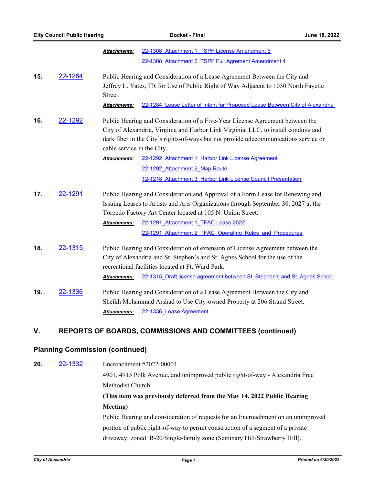|                |                                                                                                                                                                                        | <b>Attachments:</b>                                                                                                                                                                                                                                                                                                      | 22-1308 Attachment 1 TSPF License Amendment 5<br>22-1308 Attachment 2 TSPF Full Agrement Amendment 4                                                                                                                                                                                                                                   |  |  |
|----------------|----------------------------------------------------------------------------------------------------------------------------------------------------------------------------------------|--------------------------------------------------------------------------------------------------------------------------------------------------------------------------------------------------------------------------------------------------------------------------------------------------------------------------|----------------------------------------------------------------------------------------------------------------------------------------------------------------------------------------------------------------------------------------------------------------------------------------------------------------------------------------|--|--|
| 15.            | 22-1284<br>Public Hearing and Consideration of a Lease Agreement Between the City and<br>Jeffrey L. Yates, TR for Use of Public Right of Way Adjacent to 1050 North Fayette<br>Street. |                                                                                                                                                                                                                                                                                                                          |                                                                                                                                                                                                                                                                                                                                        |  |  |
|                |                                                                                                                                                                                        | <b>Attachments:</b>                                                                                                                                                                                                                                                                                                      | 22-1284 Lease Letter of Intent for Proposed Lease Between City of Alexandria                                                                                                                                                                                                                                                           |  |  |
| 16.<br>22-1292 |                                                                                                                                                                                        | Public Hearing and Consideration of a Five-Year License Agreement between the<br>City of Alexandria, Virginia and Harbor Link Virginia, LLC. to install conduits and<br>dark fiber in the City's rights-of-ways but not provide telecommunications service or<br>cable service in the City.                              |                                                                                                                                                                                                                                                                                                                                        |  |  |
|                |                                                                                                                                                                                        | <b>Attachments:</b>                                                                                                                                                                                                                                                                                                      | 22-1292 Attachment 1 Harbor Link License Agreement                                                                                                                                                                                                                                                                                     |  |  |
|                |                                                                                                                                                                                        |                                                                                                                                                                                                                                                                                                                          | 22-1292 Attachment 2 Map Route                                                                                                                                                                                                                                                                                                         |  |  |
|                |                                                                                                                                                                                        |                                                                                                                                                                                                                                                                                                                          | 12-1218 Attachment 3 Harbor Link License Council Presentation                                                                                                                                                                                                                                                                          |  |  |
| 17.            | 22-1291                                                                                                                                                                                | <b>Attachments:</b>                                                                                                                                                                                                                                                                                                      | Public Hearing and Consideration and Approval of a Form Lease for Renewing and<br>Issuing Leases to Artists and Arts Organizations through September 30, 2027 at the<br>Torpedo Factory Art Center located at 105 N. Union Street.<br>22-1291 Attachment 1 TFAC Lease 2022<br>22-1291 Attachment 2 TFAC Operating Rules and Procedures |  |  |
| 18.            | 22-1315                                                                                                                                                                                | Public Hearing and Consideration of extension of License Agreement between the<br>City of Alexandria and St. Stephen's and St. Agnes School for the use of the<br>recreational facilities located at Ft. Ward Park.<br>22-1315 Draft license agreement between St. Stephen's and St. Agnes School<br><b>Attachments:</b> |                                                                                                                                                                                                                                                                                                                                        |  |  |
| 19.            | 22-1336                                                                                                                                                                                | <b>Attachments:</b>                                                                                                                                                                                                                                                                                                      | Public Hearing and Consideration of a Lease Agreement Between the City and<br>Sheikh Mohammad Arshad to Use City-owned Property at 206 Strand Street.<br>22-1336 Lease Agreement                                                                                                                                                       |  |  |

# **V. REPORTS OF BOARDS, COMMISSIONS AND COMMITTEES (continued)**

### **Planning Commission (continued)**

**20.** [22-1332](http://alexandria.legistar.com/gateway.aspx?m=l&id=/matter.aspx?key=14930) Encroachment #2022-00004

4901, 4915 Polk Avenue, and unimproved public right-of-way - Alexandria Free Methodist Church

# **(This item was previously deferred from the May 14, 2022 Public Hearing Meeting)**

Public Hearing and consideration of requests for an Encroachment on an unimproved portion of public right-of-way to permit construction of a segment of a private driveway; zoned: R-20/Single-family zone (Seminary Hill/Strawberry Hill).